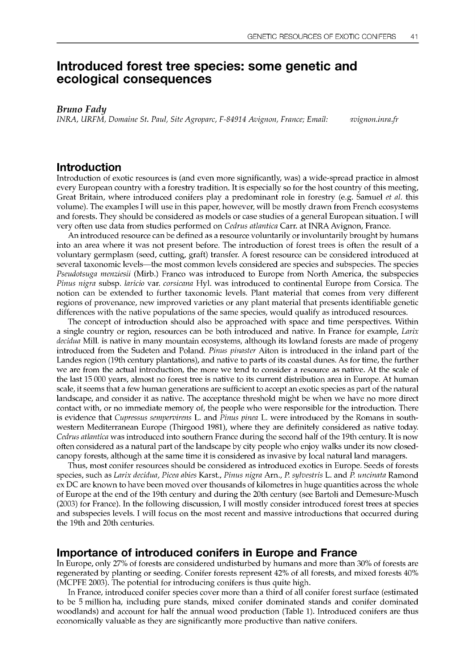# Introduced forest tree species: some genetic and ecological consequences

Bruno Fady

INRA, URFM, Domaine St. Paul, Site Agroparc, F-84914 Avignon, France; Email: qvignon.inrafr

## Introduction

Introduction of exotic resources is (and even more significantly, was) a wide-spread practice in almost every European country with a forestry tradition. It is especially so for the host country of this meeting, Great Britain, where introduced conifers play a predominant role in forestry (e.g. Samuel et al. this volume). The examples I will use in this paper, however, will be mostly drawn from French ecosystems and forests. They should be considered as models or case studies of a general European situation. I will very often use data from studies performed on Cedrus atlantica Carr. at INRA Avignon, France.

An introduced resource can be defined as a resource voluntarily or involuntarily brought by humans into an area where it was not present before. The introduction of forest trees is often the result of a voluntary germplasm (seed, cutting, graft) transfer. A forest resource can be considered introduced at several taxonomic levels—the most common levels considered are species and subspecies. The species Pseudotsuga menziesii (Mirb.) Franco was introduced to Europe from North America, the subspecies Pinus nigra subsp. laricio var. corsicana Hyl. was introduced to continental Europe from Corsica. The notion can be extended to further taxonomic levels. Plant material that comes from very different regions of provenance, new improved varieties or any plant material that presents identifiable genetic differences with the native populations of the same species, would qualify as introduced resources.

The concept of introduction should also be approached with space and time perspectives. Within a single country or region, resources can be both introduced and native. In France for example, Larix decidua Mill. is native in many mountain ecosystems, although its lowland forests are made of progeny introduced from the Sudeten and Poland. Pinus pinaster Aiton is introduced in the inland part of the Landes region (19th century plantations), and native to parts of its coastal dunes. As for time, the further we are from the actual introduction, the more we tend to consider a resource as native. At the scale of the last 15 000 years, almost no forest tree is native to its current distribution area in Europe. At human scale, it seems that a few human generations are sufficient to accept an exotic species as part of the natural landscape, and consider it as native. The acceptance threshold might be when we have no more direct contact with, or no immediate memory of, the people who were responsible for the introduction. There is evidence that Cupressus sempervirens L. and Pinus pinea L. were introduced by the Romans in southwestern Mediterranean Europe (Thirgood 1981), where they are definitely considered as native today. Cedrus atlantica was introduced into southern France during the second half of the 19th century. It is now often considered as a natural part of the landscape by city people who enjoy walks under its now closedcanopy forests, although at the same time it is considered as invasive by local natural land managers.

Thus, most conifer resources should be considered as introduced exotics in Europe. Seeds of forests species, such as Larix decidua, Picea abies Karst., Pinus nigra Arn., P. sylvestris L. and P. uncinata Ramond ex DC are known to have been moved over thousands of kilometres in huge quantities across the whole of Europe at the end of the 19th century and during the 20th century (see Bartoli and Demesure-Musch (2003) for France). In the following discussion, I will mostly consider introduced forest trees at species and subspecies levels. I will focus on the most recent and massive introductions that occurred during the 19th and 20th centuries.

# Importance of introduced conifers in Europe and France

In Europe, only 27% of forests are considered undisturbed by humans and more than 30% of forests are regenerated by planting or seeding. Conifer forests represent 42% of all forests, and mixed forests 40% (MCPFE 2003). The potential for introducing conifers is thus quite high.

In France, introduced conifer species cover more than a third of all conifer forest surface (estimated to be 5 million ha, including pure stands, mixed conifer dominated stands and conifer dominated woodlands) and account for half the annual wood production (Table 1). Introduced conifers are thus economically valuable as they are significantly more productive than native conifers.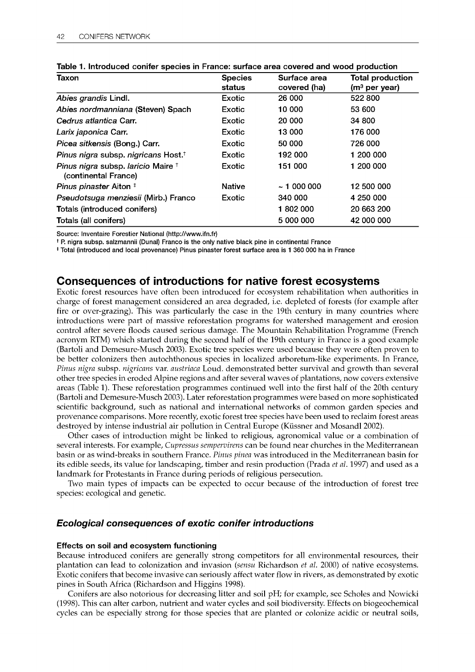| Taxon                                                                 | <b>Species</b> | Surface area | <b>Total production</b><br>$(m3$ per year) |  |
|-----------------------------------------------------------------------|----------------|--------------|--------------------------------------------|--|
|                                                                       | status         | covered (ha) |                                            |  |
| Abies grandis Lindl.                                                  | Exotic         | 26 000       | 522 800                                    |  |
| Abies nordmanniana (Steven) Spach                                     | Exotic         | 10 000       | 53 600                                     |  |
| Cedrus atlantica Carr.                                                | Exotic         | 20 000       | 34 800                                     |  |
| Larix japonica Carr.                                                  | Exotic         | 13 000       | 176 000                                    |  |
| Picea sitkensis (Bong.) Carr.                                         | Exotic         | 50 000       | 726 000                                    |  |
| Pinus nigra subsp. nigricans Host. <sup>†</sup>                       | Exotic         | 192 000      | 1 200 000                                  |  |
| Pinus nigra subsp. laricio Maire <sup>†</sup><br>(continental France) | Exotic         | 151 000      | 1 200 000                                  |  |
| Pinus pinaster Aiton #                                                | <b>Native</b>  | ~100000      | 12 500 000                                 |  |
| Pseudotsuga menziesii (Mirb.) Franco                                  | Exotic         | 340 000      | 4 250 000                                  |  |
| Totals (introduced conifers)                                          |                | 1802000      | 20 663 200                                 |  |
| Totals (all conifers)                                                 |                | 5 000 000    | 42 000 000                                 |  |

|  |  | Table 1. Introduced conifer species in France: surface area covered and wood production |  |
|--|--|-----------------------------------------------------------------------------------------|--|
|  |  |                                                                                         |  |

Source: Inventaire Forestier National (http://www.ifn.fr)

t P. nigra subsp. salzmannii (Duna!) Franco is the only native black pine in continental France

t Total (introduced and local provenance) Pinus pinaster forest surface area is 1 360 000 ha in France

# Consequences of introductions for native forest ecosystems

Exotic forest resources have often been introduced for ecosystem rehabilitation when authorities in charge of forest management considered an area degraded, i.e. depleted of forests (for example after fire or over-grazing). This was particularly the case in the 19th century in many countries where introductions were part of massive reforestation programs for watershed management and erosion control after severe floods caused serious damage. The Mountain Rehabilitation Programme (French acronym RTM) which started during the second half of the 19th century in France is a good example (Bartoli and Demesure-Musch 2003). Exotic tree species were used because they were often proven to be better colonizers then autochthonous species in localized arboretum-like experiments. In France, Pinus nigra subsp. nigricans var. austriaca Loud. demonstrated better survival and growth than several other tree species in eroded Alpine regions and after several waves of plantations, now covers extensive areas (Table 1). These reforestation programmes continued well into the first half of the 20th century (Bartoli and Demesure-Musch 2003). Later reforestation programmes were based on more sophisticated scientific background, such as national and international networks of common garden species and provenance comparisons. More recently, exotic forest tree species have been used to reclaim forest areas destroyed by intense industrial air pollution in Central Europe (Kiissner and Mosandl 2002).

Other cases of introduction might be linked to religious, agronomical value or a combination of several interests. For example, Cupressus sempervirens can be found near churches in the Mediterranean basin or as wind-breaks in southern France. Pinus pinea was introduced in the Mediterranean basin for its edible seeds, its value for landscaping, timber and resin production (Prada et al. 1997) and used as a landmark for Protestants in France during periods of religious persecution.

Two main types of impacts can be expected to occur because of the introduction of forest tree species: ecological and genetic.

### Ecological consequences of exotic conifer introductions

### Effects on soil and ecosystem functioning

Because introduced conifers are generally strong competitors for all environmental resources, their plantation can lead to colonization and invasion (sensu Richardson et al. 2000) of native ecosystems. Exotic conifers that become invasive can seriously affect water flow in rivers, as demonstrated by exotic pines in South Africa (Richardson and Higgins 1998).

Conifers are also notorious for decreasing litter and soil pH; for example, see Scholes and Nowicki (1998). This can alter carbon, nutrient and water cycles and soil biodiversity. Effects on biogeochemical cycles can be especially strong for those species that are planted or colonize acidic or neutral soils,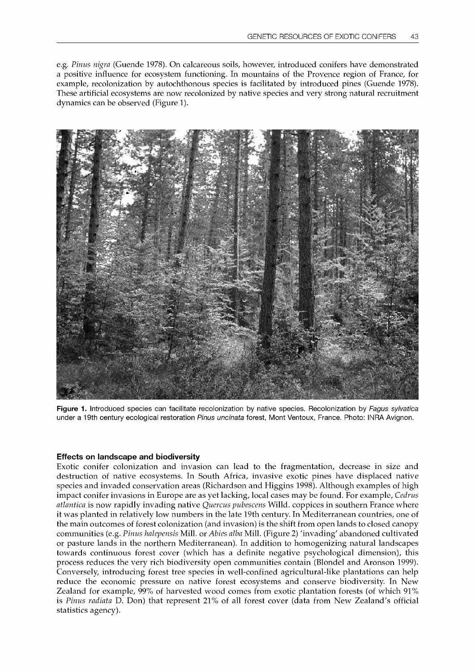e.g. Pinus nigra (Guende 1978). On calcareous soils, however, introduced conifers have demonstrated a positive influence for ecosystem functioning. In mountains of the Provence region of France, for example, recolonization by autochthonous species is facilitated by introduced pines (Guende 1978). These artificial ecosystems are now recolonized by native species and very strong natural recruitment dynamics can be observed (Figure 1).



Figure 1. Introduced species can facilitate recolonization by native species. Recolonization by Fagus sylvatica under a 19th century ecological restoration Pinus uncinata forest, Mont Ventoux, France. Photo: INRA Avignon.

#### Effects on landscape and biodiversity

Exotic conifer colonization and invasion can lead to the fragmentation, decrease in size and destruction of native ecosystems. In South Africa, invasive exotic pines have displaced native species and invaded conservation areas (Richardson and Higgins 1998). Although examples of high impact conifer invasions in Europe are as yet lacking, local cases may be found. For example, Cedrus atlantica is now rapidly invading native Quercus pubescens Willd. coppices in southern France where it was planted in relatively low numbers in the late 19th century. In Mediterranean countries, one of the main outcomes of forest colonization (and invasion) is the shift from open lands to closed canopy communities (e.g. Pinus halepensis Mill. or Abies alba Mill. (Figure 2) 'invading' abandoned cultivated or pasture lands in the northern Mediterranean). In addition to homogenizing natural landscapes towards continuous forest cover (which has a definite negative psychological dimension), this process reduces the very rich biodiversity open communities contain (Blondel and Aronson 1999). Conversely, introducing forest tree species in well-confined agricultural-like plantations can help reduce the economic pressure on native forest ecosystems and conserve biodiversity. In New Zealand for example, 99% of harvested wood comes from exotic plantation forests (of which 91% is Pinus radiata D. Don) that represent 21% of all forest cover (data from New Zealand's official statistics agency).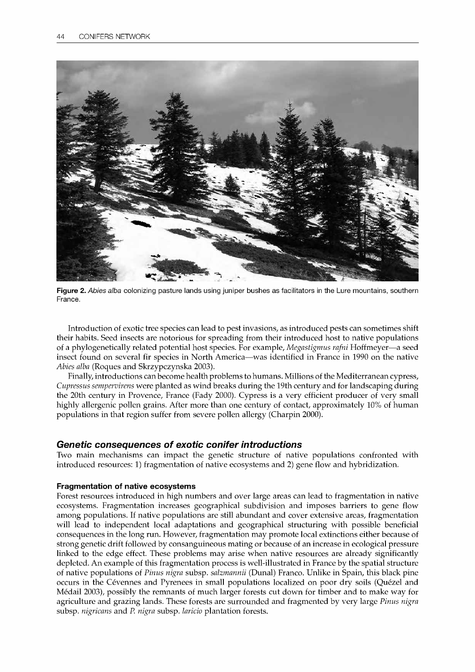

Figure 2. Abies alba colonizing pasture lands using juniper bushes as facilitators in the Lure mountains, southern France.

Introduction of exotic tree species can lead to pest invasions, as introduced pests can sometimes shift their habits. Seed insects are notorious for spreading from their introduced host to native populations of a phylogenetically related potential host species. For example, Megastigmus rafni Hoffmeyer—a seed insect found on several fir species in North America-was identified in France in 1990 on the native Abies alba (Rogues and Skrzypczynska 2003).

Finally, introductions can become health problems to humans. Millions of the Mediterranean cypress, Cupressus sempervirens were planted as wind breaks during the 19th century and for landscaping during the 20th century in Provence, France (Fady 2000). Cypress is a very efficient producer of very small highly allergenic pollen grains. After more than one century of contact, approximately 10% of human populations in that region suffer from severe pollen allergy (Charpin 2000).

### Genetic consequences of exotic conifer introductions

Two main mechanisms can impact the genetic structure of native populations confronted with introduced resources: 1) fragmentation of native ecosystems and 2) gene flow and hybridization.

### Fragmentation of native ecosystems

Forest resources introduced in high numbers and over large areas can lead to fragmentation in native ecosystems. Fragmentation increases geographical subdivision and imposes barriers to gene flow among populations. If native populations are still abundant and cover extensive areas, fragmentation will lead to independent local adaptations and geographical structuring with possible beneficial consequences in the long run. However, fragmentation may promote local extinctions either because of strong genetic drift followed by consanguineous mating or because of an increase in ecological pressure linked to the edge effect. These problems may arise when native resources are already significantly depleted. An example of this fragmentation process is well-illustrated in France by the spatial structure of native populations of Pinus nigra subsp. salzmannii (Dunal) Franco. Unlike in Spain, this black pine occurs in the Cevennes and Pyrenees in small populations localized on poor dry soils (Quezel and Medail 2003), possibly the remnants of much larger forests cut down for timber and to make way for agriculture and grazing lands. These forests are surrounded and fragmented by very large Pinus nigra subsp. nigricans and P. nigra subsp. laricio plantation forests.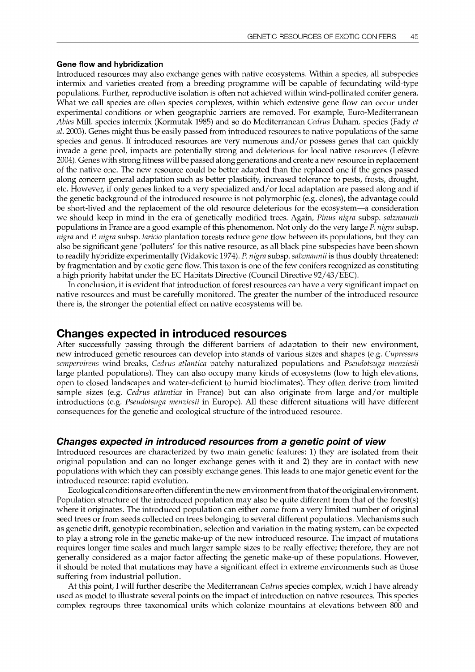#### Gene flow and hybridization

Introduced resources may also exchange genes with native ecosystems. Within a species, all subspecies intermix and varieties created from a breeding programme will be capable of fecundating wild-type populations. Further, reproductive isolation is often not achieved within wind-pollinated conifer genera. What we call species are often species complexes, within which extensive gene flow can occur under experimental conditions or when geographic barriers are removed. For example, Euro-Mediterranean Abies Mill. species intermix (Kormutak 1985) and so do Mediterranean Cedrus Duham. species (Fady et al. 2003). Genes might thus be easily passed from introduced resources to native populations of the same species and genus. If introduced resources are very numerous and/or possess genes that can quickly invade a gene pool, impacts are potentially strong and deleterious for local native resources (Lefevre 2004). Genes with strong fitness will be passed along generations and create a new resource in replacement of the native one. The new resource could be better adapted than the replaced one if the genes passed along concern general adaptation such as better plasticity, increased tolerance to pests, frosts, drought, etc. However, if only genes linked to a very specialized and/or local adaptation are passed along and if the genetic background of the introduced resource is not polymorphic (e.g. clones), the advantage could be short-lived and the replacement of the old resource deleterious for the ecosystem-a consideration we should keep in mind in the era of genetically modified trees. Again, Pinus nigra subsp. salzmannii populations in France are a good example of this phenomenon. Not only do the very large P. nigra subsp. nigra and P. nigra subsp. laricio plantation forests reduce gene flow between its populations, but they can also be significant gene 'polluters' for this native resource, as all black pine subspecies have been shown to readily hybridize experimentally (Vidakovic 1974). P. nigra subsp. salzmannii is thus doubly threatened: by fragmentation and by exotic gene flow. This taxon is one of the few conifers recognized as constituting a high priority habitat under the EC Habitats Directive (Council Directive 92/43 /EEC).

In conclusion, it is evident that introduction of forest resources can have a very significant impact on native resources and must be carefully monitored. The greater the number of the introduced resource there is, the stronger the potential effect on native ecosystems will be.

### Changes expected in introduced resources

After successfully passing through the different barriers of adaptation to their new environment, new introduced genetic resources can develop into stands of various sizes and shapes (e.g. Cupressus sempervirens wind-breaks, Cedrus atlantica patchy naturalized populations and Pseudotsuga menziesii large planted populations). They can also occupy many kinds of ecosystems (low to high elevations, open to closed landscapes and water-deficient to humid bioclimates). They often derive from limited sample sizes (e.g. Cedrus atlantica in France) but can also originate from large and/or multiple introductions (e.g. Pseudotsuga menziesii in Europe). All these different situations will have different consequences for the genetic and ecological structure of the introduced resource.

### Changes expected in introduced resources from a genetic point of view

Introduced resources are characterized by two main genetic features: 1) they are isolated from their original population and can no longer exchange genes with it and 2) they are in contact with new populations with which they can possibly exchange genes. This leads to one major genetic event for the introduced resource: rapid evolution.

Ecological conditions are often different in the new environment from that of the original environment. Population structure of the introduced population may also be quite different from that of the forest(s) where it originates. The introduced population can either come from a very limited number of original seed trees or from seeds collected on trees belonging to several different populations. Mechanisms such as genetic drift, genotypic recombination, selection and variation in the mating system, can be expected to play a strong role in the genetic make-up of the new introduced resource. The impact of mutations requires longer time scales and much larger sample sizes to be really effective; therefore, they are not generally considered as a major factor affecting the genetic make-up of these populations. However, it should be noted that mutations may have a significant effect in extreme environments such as those suffering from industrial pollution.

At this point, I will further describe the Mediterranean *Cedrus* species complex, which I have already used as model to illustrate several points on the impact of introduction on native resources. This species complex regroups three taxonomical units which colonize mountains at elevations between 800 and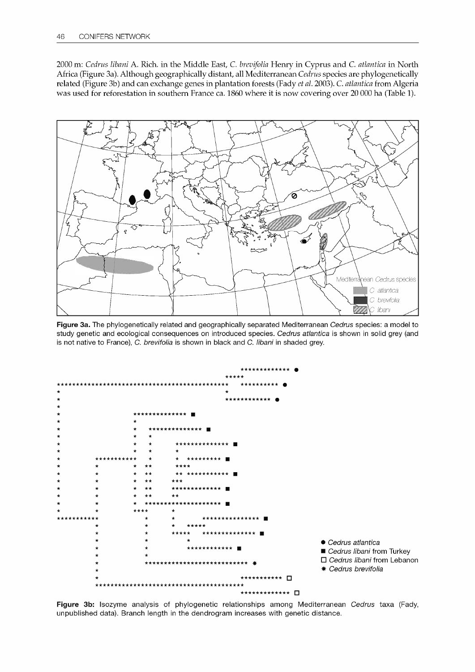2000 m: Cedrus libani A. Rich. in the Middle East, C. brevifolia Henry in Cyprus and C. atlantica in North Africa (Figure 3a). Although geographically distant, all Mediterranean Cedrus species are phylogenetically related (Figure 3b) and can exchange genes in plantation forests (Fady et al. 2003). C. atlantica from Algeria was used for reforestation in southern France ca. 1860 where it is now covering over 20 000 ha (Table 1).



Figure 3a. The phylogenetically related and geographically separated Mediterranean Cedrus species: a model to study genetic and ecological consequences on introduced species. Cedrus atlantica is shown in solid grey (and is not native to France), C. brevifolia is shown in black and C. libani in shaded grey.



Figure 3b: Isozyme analysis of phylogenetic relationships among Mediterranean Cedrus taxa (Fady, unpublished data). Branch length in the dendrogram increases with genetic distance.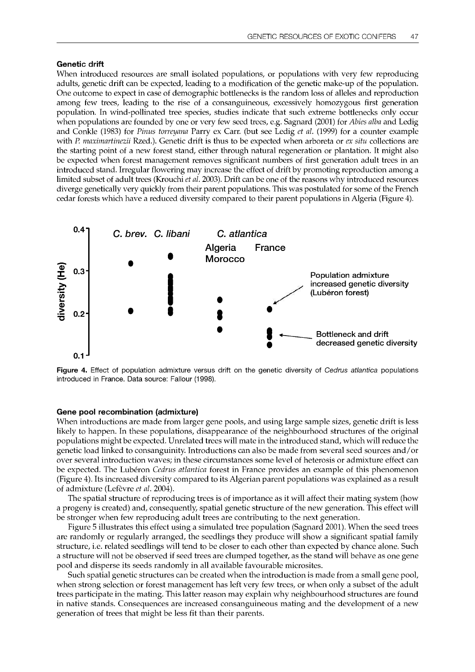#### Genetic drift

When introduced resources are small isolated populations, or populations with very few reproducing adults, genetic drift can be expected, leading to a modification of the genetic make-up of the population. One outcome to expect in case of demographic bottlenecks is the random loss of alleles and reproduction among few trees, leading to the rise of a consanguineous, excessively homozygous first generation population. In wind-pollinated tree species, studies indicate that such extreme bottlenecks only occur when populations are founded by one or very few seed trees, e.g. Sagnard (2001) for Abies alba and Ledig and Conkle (1983) for Pinus torreyana Parry ex Carr. (but see Ledig et al. (1999) for a counter example with P. maximartinezii Rzed.). Genetic drift is thus to be expected when arboreta or  $ex$  situ collections are the starting point of a new forest stand, either through natural regeneration or plantation. It might also be expected when forest management removes significant numbers of first generation adult trees in an introduced stand. Irregular flowering may increase the effect of drift by promoting reproduction among a limited subset of adult trees (Krouchi et al. 2003). Drift can be one of the reasons why introduced resources diverge genetically very quickly from their parent populations. This was postulated for some of the French cedar forests which have a reduced diversity compared to their parent populations in Algeria (Figure 4).



Figure 4. Effect of population admixture versus drift on the genetic diversity of Cedrus atlantica populations introduced in France. Data source: Fallour (1998).

#### Gene pool recombination (admixture)

When introductions are made from larger gene pools, and using large sample sizes, genetic drift is less likely to happen. In these populations, disappearance of the neighbourhood structures of the original populations might be expected. Unrelated trees will mate in the introduced stand, which will reduce the genetic load linked to consanguinity. Introductions can also be made from several seed sources and/or over several introduction waves; in these circumstances some level of heterosis or admixture effect can be expected. The Lubéron Cedrus atlantica forest in France provides an example of this phenomenon (Figure 4). Its increased diversity compared to its Algerian parent populations was explained as a result of admixture (Lefèvre et al. 2004).

The spatial structure of reproducing trees is of importance as it will affect their mating system (how a progeny is created) and, consequently, spatial genetic structure of the new generation. This effect will be stronger when few reproducing adult trees are contributing to the next generation.

Figure 5 illustrates this effect using a simulated tree population (Sagnard 2001). When the seed trees are randomly or regularly arranged, the seedlings they produce will show a significant spatial family structure, i.e. related seedlings will tend to be closer to each other than expected by chance alone. Such a structure will not be observed if seed trees are clumped together, as the stand will behave as one gene pool and disperse its seeds randomly in all available favourable microsites.

Such spatial genetic structures can be created when the introduction is made from a small gene pool, when strong selection or forest management has left very few trees, or when only a subset of the adult trees participate in the mating. This latter reason may explain why neighbourhood structures are found in native stands. Consequences are increased consanguineous mating and the development of a new generation of trees that might be less fit than their parents.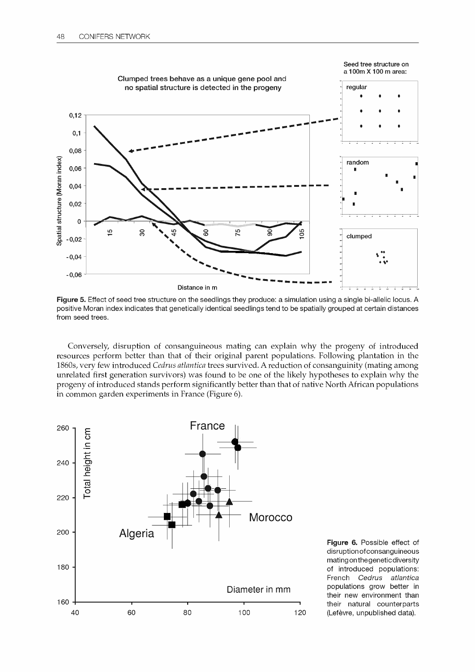

Figure 5. Effect of seed tree structure on the seedlings they produce: a simulation using a single bi-allelic locus. A positive Moran index indicates that genetically identical seedlings tend to be spatially grouped at certain distances from seed trees.

Conversely, disruption of consanguineous mating can explain why the progeny of introduced resources perform better than that of their original parent populations. Following plantation in the 1860s, very few introduced Cedrus atlantica trees survived. A reduction of consanguinity (mating among unrelated first generation survivors) was found to be one of the likely hypotheses to explain why the progeny of introduced stands perform significantly better than that of native North African populations in common garden experiments in France (Figure 6).



Figure 6. Possible effect of disruption of consanguineous mating on thegeneticdiversity of introduced populations: French Cedrus atlantica Diameter in mm populations grow better in their new environment than their natural counterparts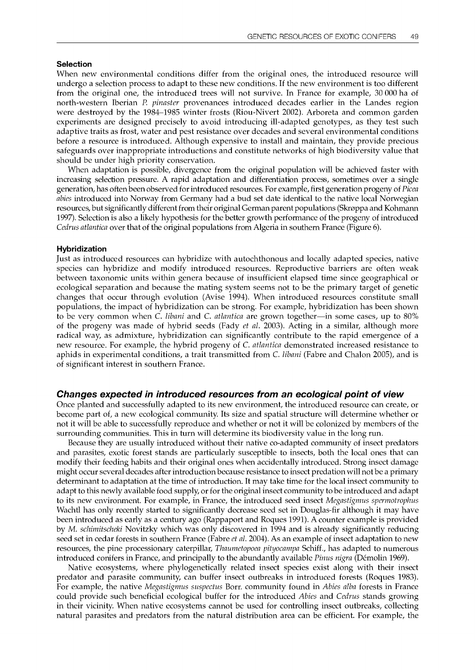#### Selection

When new environmental conditions differ from the original ones, the introduced resource will undergo a selection process to adapt to these new conditions. If the new environment is too different from the original one, the introduced trees will not survive. In France for example, 30 000 ha of north-western Iberian P. pinaster provenances introduced decades earlier in the Landes region were destroyed by the 1984-1985 winter frosts (Riou-Nivert 2002). Arboreta and common garden experiments are designed precisely to avoid introducing ill-adapted genotypes, as they test such adaptive traits as frost, water and pest resistance over decades and several environmental conditions before a resource is introduced. Although expensive to install and maintain, they provide precious safeguards over inappropriate introductions and constitute networks of high biodiversity value that should be under high priority conservation.

When adaptation is possible, divergence from the original population will be achieved faster with increasing selection pressure. A rapid adaptation and differentiation process, sometimes over a single generation, has often been observed for introduced resources. For example, first generation progeny of Picea abies introduced into Norway from Germany had a bud set date identical to the native local Norwegian resources, but significantly different from their original German parent populations (Skroppa and Kohmann 1997). Selection is also a likely hypothesis for the better growth performance of the progeny of introduced Cedrus atlantica over that of the original populations from Algeria in southern France (Figure 6).

#### Hybridization

Just as introduced resources can hybridize with autochthonous and locally adapted species, native species can hybridize and modify introduced resources. Reproductive barriers are often weak between taxonomic units within genera because of insufficient elapsed time since geographical or ecological separation and because the mating system seems not to be the primary target of genetic changes that occur through evolution (Avise 1994). When introduced resources constitute small populations, the impact of hybridization can be strong. For example, hybridization has been shown to be very common when C. libani and C. atlantica are grown together—in some cases, up to 80% of the progeny was made of hybrid seeds (Fady et al. 2003). Acting in a similar, although more radical way, as admixture, hybridization can significantly contribute to the rapid emergence of a new resource. For example, the hybrid progeny of C. atlantica demonstrated increased resistance to aphids in experimental conditions, a trait transmitted from C. libani (Fabre and Chalon 2005), and is of significant interest in southern France.

#### Changes expected in introduced resources from an ecological point of view

Once planted and successfully adapted to its new environment, the introduced resource can create, or become part of, a new ecological community. Its size and spatial structure will determine whether or not it will be able to successfully reproduce and whether or not it will be colonized by members of the surrounding communities. This in turn will determine its biodiversity value in the long run.

Because they are usually introduced without their native co-adapted community of insect predators and parasites, exotic forest stands are particularly susceptible to insects, both the local ones that can modify their feeding habits and their original ones when accidentally introduced. Strong insect damage might occur several decades after introduction because resistance to insect predation will not be a primary determinant to adaptation at the time of introduction. It may take time for the local insect community to adapt to this newly available food supply, or for the original insect community to be introduced and adapt to its new environment. For example, in France, the introduced seed insect Megastigmus spermotrophus Wachtl has only recently started to significantly decrease seed set in Douglas-fir although it may have been introduced as early as a century ago (Rappaport and Rogues 1991). A counter example is provided by M. schimitscheki Novitzky which was only discovered in 1994 and is already significantly reducing seed set in cedar forests in southern France (Fabre et al. 2004). As an example of insect adaptation to new resources, the pine processionary caterpillar, Thaumetopoea pityocampa Schiff., has adapted to numerous introduced conifers in France, and principally to the abundantly available *Pinus nigra* (Démolin 1969).

Native ecosystems, where phylogenetically related insect species exist along with their insect predator and parasite community, can buffer insect outbreaks in introduced forests (Rogues 1983). For example, the native Megastigmus suspectus Borr. community found in Abies alba forests in France could provide such beneficial ecological buffer for the introduced Abies and Cedrus stands growing in their vicinity. When native ecosystems cannot be used for controlling insect outbreaks, collecting natural parasites and predators from the natural distribution area can be efficient. For example, the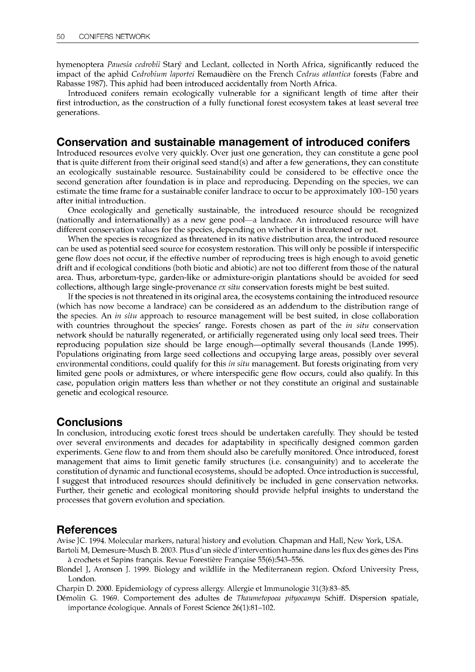hymenoptera Pauesia cedrobii Starý and Leclant, collected in North Africa, significantly reduced the impact of the aphid Cedrobium laportei Remaudière on the French Cedrus atlantica forests (Fabre and Rabasse 1987). This aphid had been introduced accidentally from North Africa.

Introduced conifers remain ecologically vulnerable for a significant length of time after their first introduction, as the construction of a fully functional forest ecosystem takes at least several tree generations.

### Conservation and sustainable management of introduced conifers

Introduced resources evolve very quickly. Over just one generation, they can constitute a gene pool that is quite different from their original seed stand(s) and after a few generations, they can constitute an ecologically sustainable resource. Sustainability could be considered to be effective once the second generation after foundation is in place and reproducing. Depending on the species, we can estimate the time frame for a sustainable conifer landrace to occur to be approximately 100-150 years after initial introduction.

Once ecologically and genetically sustainable, the introduced resource should be recognized (nationally and internationally) as a new gene pool—a landrace. An introduced resource will have different conservation values for the species, depending on whether it is threatened or not.

When the species is recognized as threatened in its native distribution area, the introduced resource can be used as potential seed source for ecosystem restoration. This will only be possible if interspecific gene flow does not occur, if the effective number of reproducing trees is high enough to avoid genetic drift and if ecological conditions (both biotic and abiotic) are not too different from those of the natural area. Thus, arboretum-type, garden-like or admixture-origin plantations should be avoided for seed collections, although large single-provenance  $ex$  situ conservation forests might be best suited.

If the species is not threatened in its original area, the ecosystems containing the introduced resource (which has now become a landrace) can be considered as an addendum to the distribution range of the species. An *in situ* approach to resource management will be best suited, in close collaboration with countries throughout the species' range. Forests chosen as part of the *in situ* conservation network should be naturally regenerated, or artificially regenerated using only local seed trees. Their reproducing population size should be large enough—optimally several thousands (Lande 1995). Populations originating from large seed collections and occupying large areas, possibly over several environmental conditions, could qualify for this in situ management. But forests originating from very limited gene pools or admixtures, or where interspecific gene flow occurs, could also qualify. In this case, population origin matters less than whether or not they constitute an original and sustainable genetic and ecological resource.

### **Conclusions**

In conclusion, introducing exotic forest trees should be undertaken carefully. They should be tested over several environments and decades for adaptability in specifically designed common garden experiments. Gene flow to and from them should also be carefully monitored. Once introduced, forest management that aims to limit genetic family structures (i.e. consanguinity) and to accelerate the constitution of dynamic and functional ecosystems, should be adopted. Once introduction is successful, I suggest that introduced resources should definitively be included in gene conservation networks. Further, their genetic and ecological monitoring should provide helpful insights to understand the processes that govern evolution and speciation.

### References

Avise JC. 1994. Molecular markers, natural history and evolution. Chapman and Hall, New York, USA.

Bartoli M, Demesure-Musch B. 2003. Plus d'un siècle d'intervention humaine dans les flux des genes des Pins a crochets et Sapins francais. Revue Forestiere Francaise 55(6):543-556.

Blondel J, Aronson J. 1999. Biology and wildlife in the Mediterranean region. Oxford University Press, London.

Charpin D. 2000. Epidemiology of cypress allergy. Allergie et Immunologie 31(3):83-85.

Démolin G. 1969. Comportement des adultes de Thaumetopoea pityocampa Schiff. Dispersion spatiale, importance écologique. Annals of Forest Science 26(1):81-102.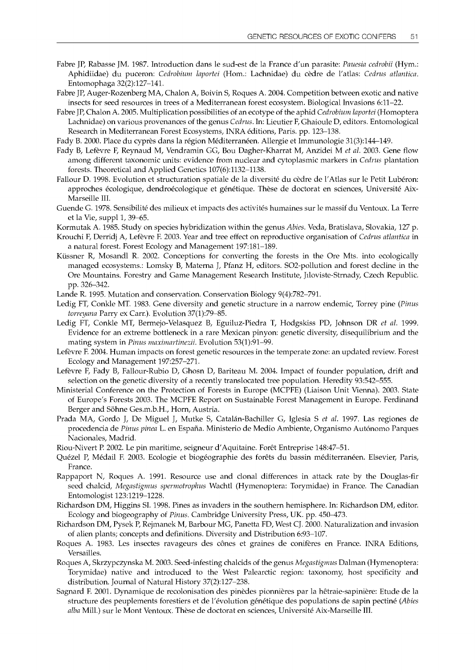- Fabre JP, Rabasse JM. 1987. Introduction dans le sud-est de la France d'un parasite: Pauesia cedrobii (Hym.: Aphidiidae) du puceron: Cedrobium laportei (Hom.: Lachnidae) du cèdre de l'atlas: Cedrus atlantica. Entomophaga 32(2):127-141.
- Fabre JP, Auger-Rozenberg MA, Chalon A, Boivin S, Rogues A. 2004. Competition between exotic and native insects for seed resources in trees of a Mediterranean forest ecosystem. Biological Invasions 6:11-22.
- Fabre JP, Chalon A. 2005. Multiplication possibilities of an ecotype of the aphid Cedrobium laportei (Homoptera Lachnidae) on various provenances of the genus Cedrus. In: Lieutier F, Ghaioule D, editors. Entomological Research in Mediterranean Forest Ecosystems, INRA editions, Paris. pp. 123-138.
- Fady B. 2000. Place du cyprès dans la région Méditerranéen. Allergie et Immunologie 31(3):144-149.
- Fady B, Lefèvre F, Reynaud M, Vendramin GG, Bou Dagher-Kharrat M, Anzidei M et al. 2003. Gene flow among different taxonomic units: evidence from nuclear and cytoplasmic markers in Cedrus plantation forests. Theoretical and Applied Genetics 107(6):1132-1138.
- Fallour D. 1998. Evolution et structuration spatiale de la diversité du cèdre de l'Atlas sur le Petit Lubéron: approches écologique, dendroécologique et génétique. Thèse de doctorat en sciences, Université Aix-Marseille III.
- Guende G. 1978. Sensibilite des milieux et impacts des activites humaines sur le massif du Ventoux. La Terre et la Vie, suppl 1,39-65.
- Kormutak A. 1985. Study on species hybridization within the genus Abies. Veda, Bratislava, Slovakia, 127 p.
- Krouchi F, Derridj A, Lefevre F. 2003. Year and tree effect on reproductive organisation of Cedrus atlantica in a natural forest. Forest Ecology and Management 197:181-189.
- Küssner R, Mosandl R. 2002. Conceptions for converting the forests in the Ore Mts. into ecologically managed ecosystems.: Lomsky B, Materna J, Pfanz H, editors. S02-pollution and forest decline in the Ore Mountains. Forestry and Game Management Research Institute, Jiloviste-Strnady, Czech Republic. pp. 326-342.
- Lande R. 1995. Mutation and conservation. Conservation Biology 9(4):782-791.
- Ledig FT, Conkle MT. 1983. Gene diversity and genetic structure in a narrow endemic, Torrey pine (Pinus torreyana Parry ex Carr.). Evolution 37(1):79-85.
- Ledig FT, Conkle MT, Bermejo-Velasquez B, Eguiluz-Piedra T, Hodgskiss PD, Johnson DR et al. 1999. Evidence for an extreme bottleneck in a rare Mexican pinyon: genetic diversity, disequilibrium and the mating system in Pinus maximartinezii. Evolution 53(1):91-99.
- Lefèvre F. 2004. Human impacts on forest genetic resources in the temperate zone: an updated review. Forest Ecology and Management 197:257-271.
- Lefèvre F, Fady B, Fallour-Rubio D, Ghosn D, Bariteau M. 2004. Impact of founder population, drift and selection on the genetic diversity of a recently translocated tree population. Heredity 93:542-555.
- Ministerial Conference on the Protection of Forests in Europe (MCPFE) (Liaison Unit Vienna). 2003. State of Europe's Forests 2003. The MCPFE Report on Sustainable Forest Management in Europe. Ferdinand Berger and Sohne Ges.m.b.H., Horn, Austria.
- Prada MA, Gordo J, De Miguel J, Mutke S, Catalán-Bachiller G, Iglesia S et al. 1997. Las regiones de procedencia de Pinus pinea L. en España. Ministerio de Medio Ambiente, Organismo Autónomo Parques Nacionales, Madrid.
- Riou-Nivert P. 2002. Le pin maritime, seigneur d'Aquitaine. Foret Entreprise 148:47-51.
- Quézel P, Médail F. 2003. Ecologie et biogéographie des forêts du bassin méditerranéen. Elsevier, Paris, France.
- Rappaport N, Rogues A. 1991. Resource use and clonal differences in attack rate by the Douglas-fir seed chalcid, Megastigmus spermotrophus Wachtl (Hymenoptera: Torymidae) in France. The Canadian Entomologist 123:1219-1228.
- Richardson DM, Higgins SI. 1998. Pines as invaders in the southern hemisphere. In: Richardson DM, editor. Ecology and biogeography of Pinus. Cambridge University Press, UK. pp. 450-473.
- Richardson DM, Pysek P, Rejmanek M, Barbour MG, Panetta FD, West CJ. 2000. Naturalization and invasion of alien plants; concepts and definitions. Diversity and Distribution 6:93-107.
- Rogues A. 1983. Les insectes ravageurs des cones et graines de coniferes en France. INRA Editions, Versailles.
- Rogues A, Skrzypczynska M. 2003. Seed-infesting chalcids of the genus Megastigmus Dalman (Hymenoptera: Torymidae) native and introduced to the West Palearctic region: taxonomy, host specificity and distribution. Journal of Natural History 37(2):127-238.
- Sagnard F. 2001. Dynamique de recolonisation des pinedes pionnieres par la hetraie-sapiniere: Etude de la structure des peuplements forestiers et de l'évolution génétique des populations de sapin pectiné (Abies alba Mill.) sur le Mont Ventoux. These de doctorat en sciences, Universite Aix-Marseille III.